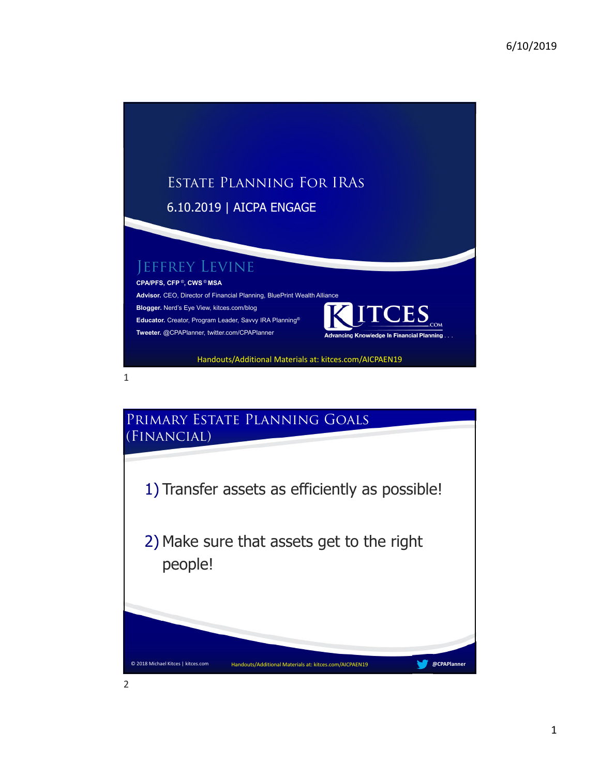

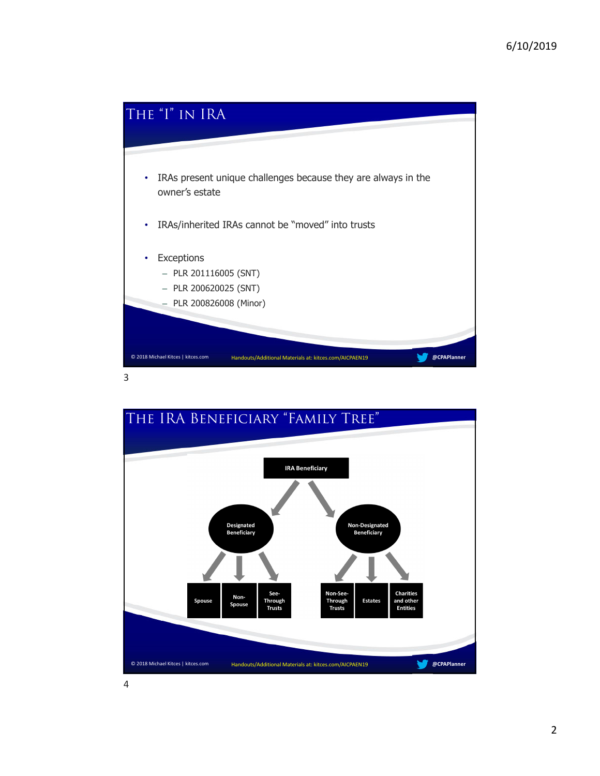

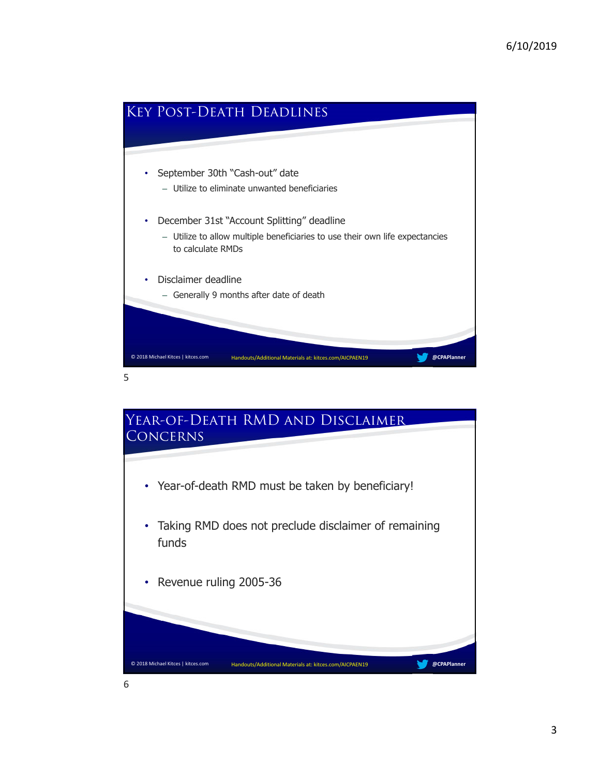

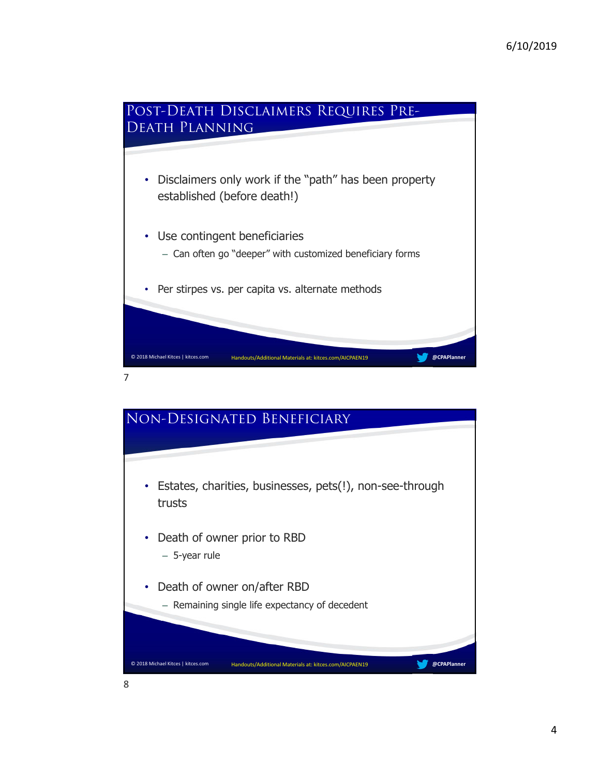

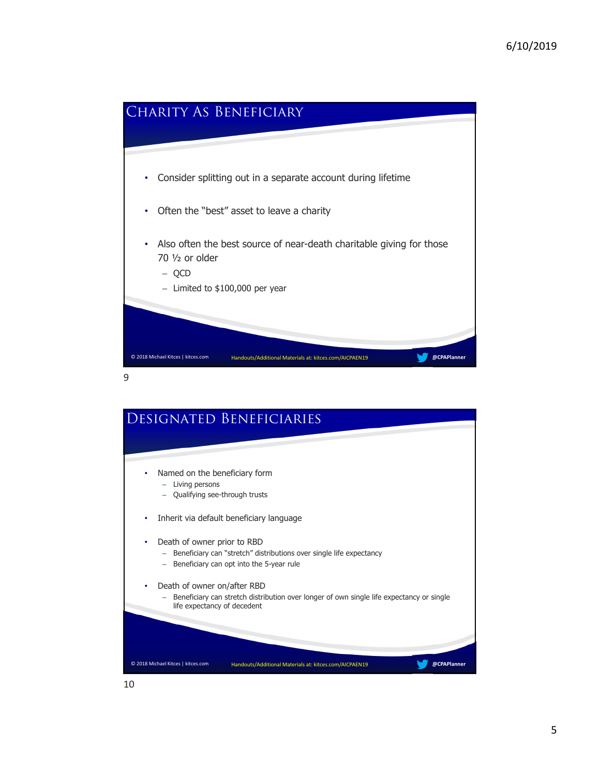

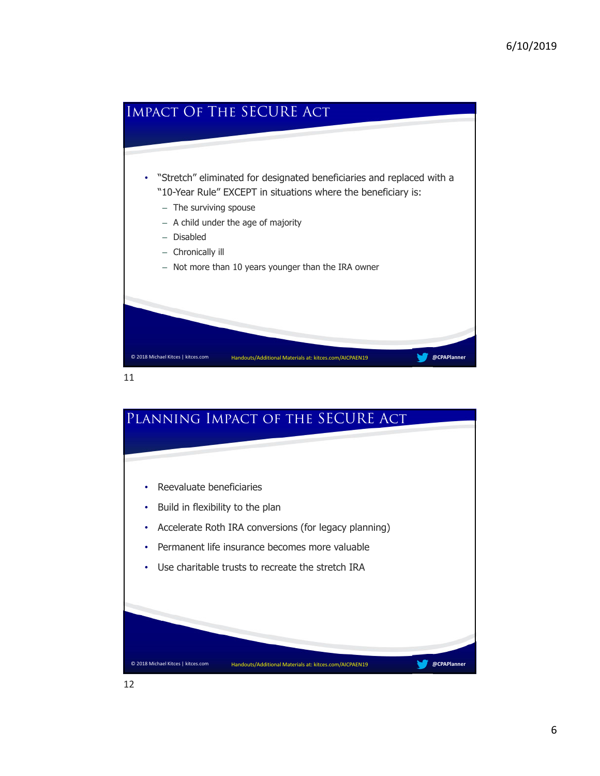

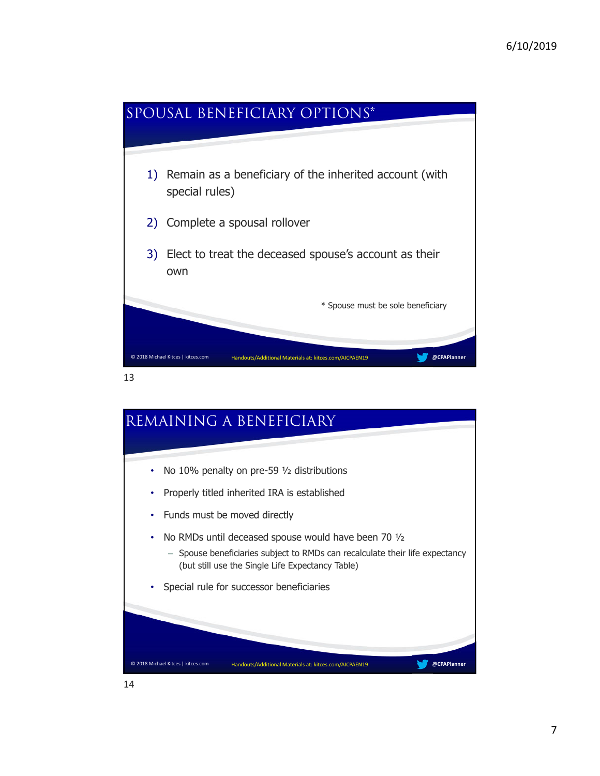

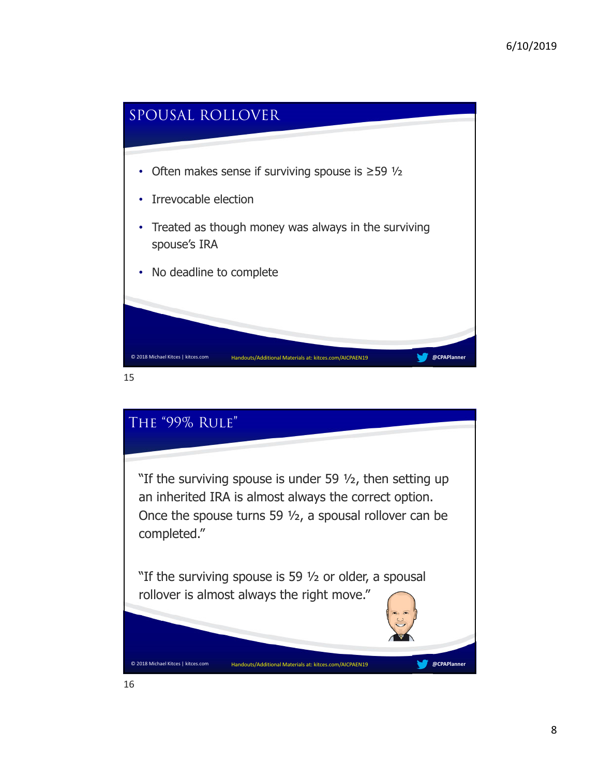

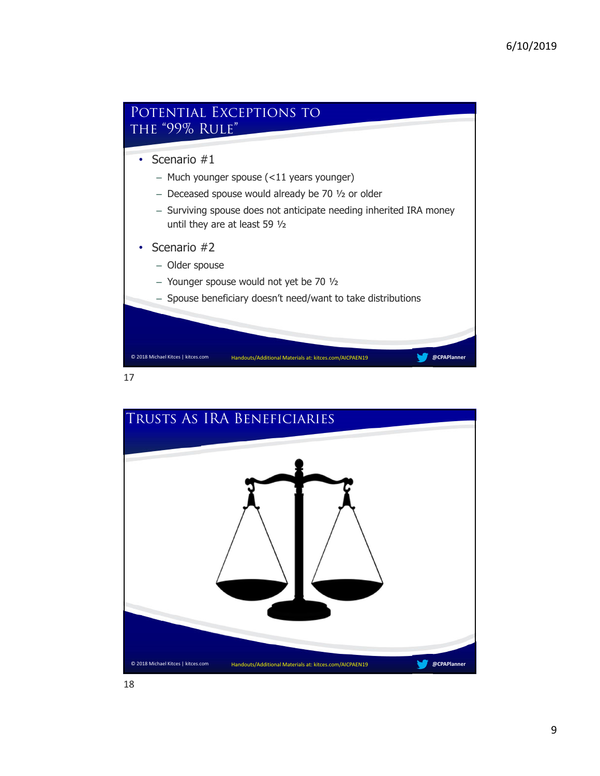

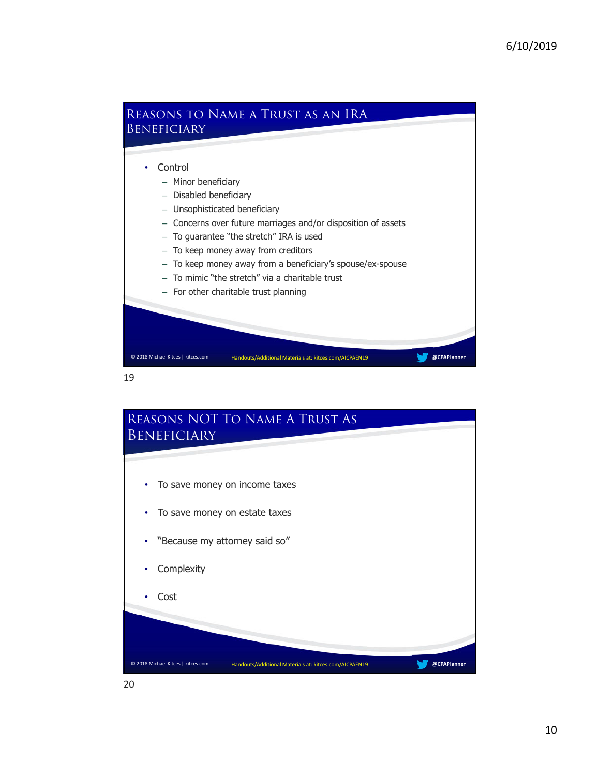

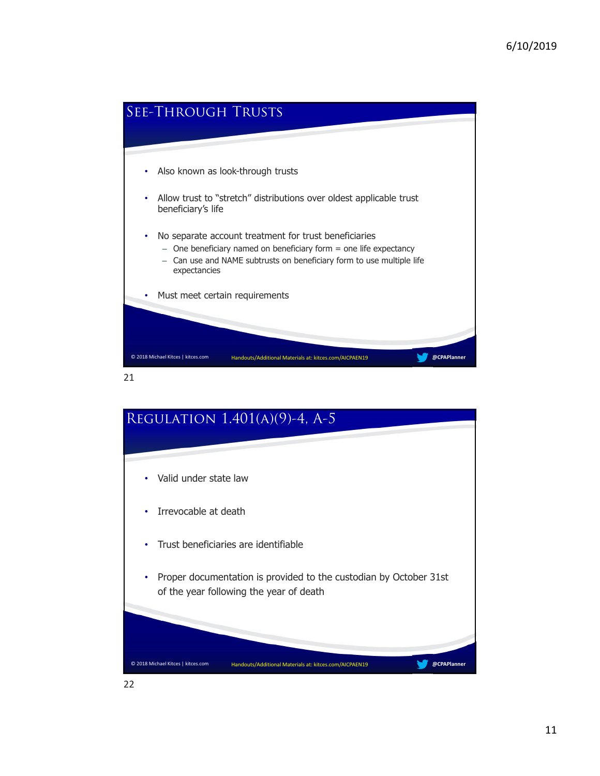

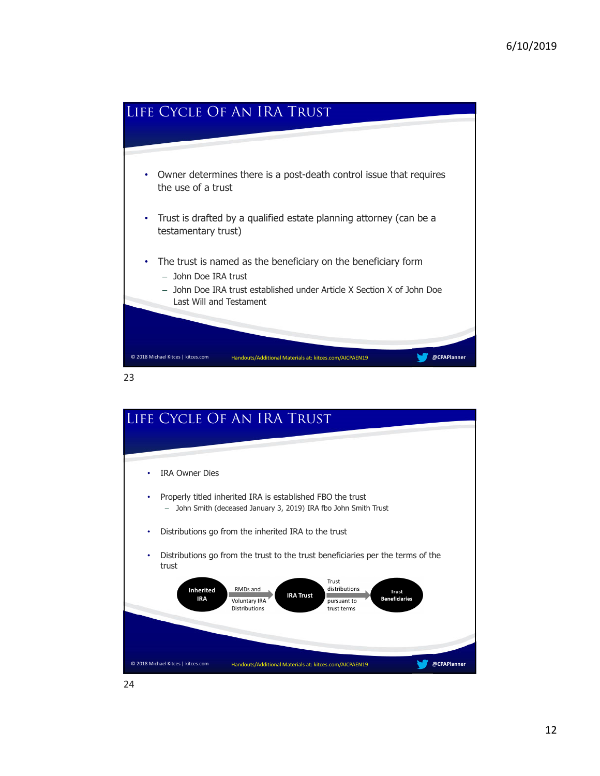

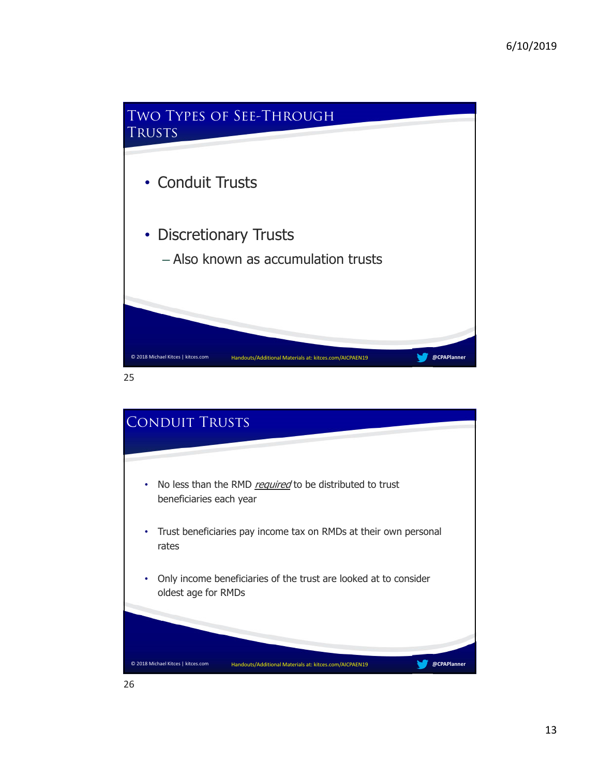

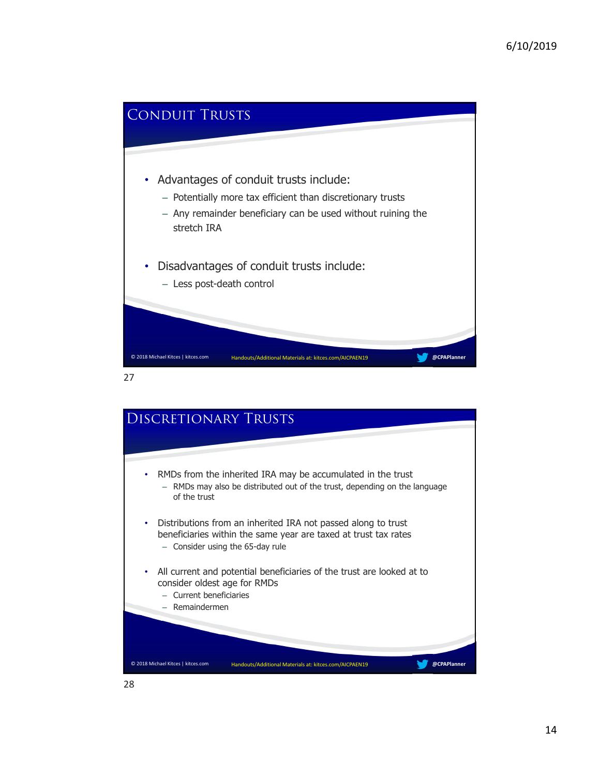

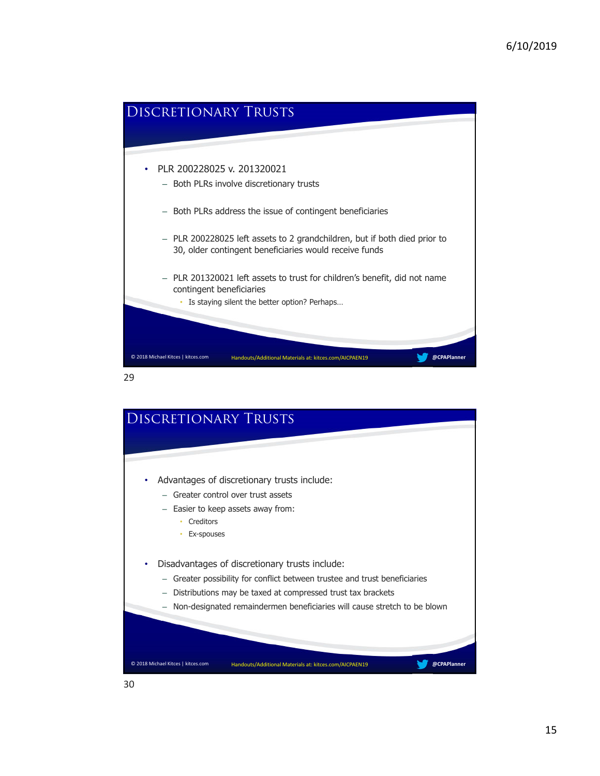

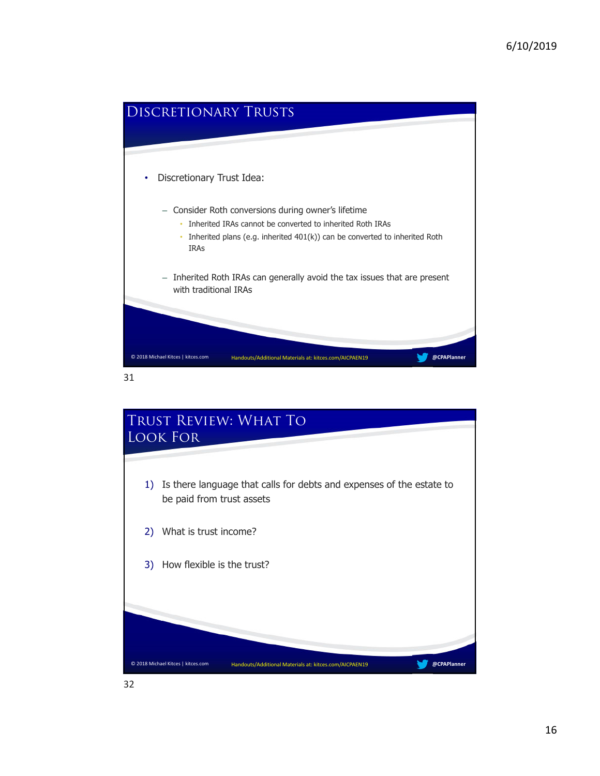

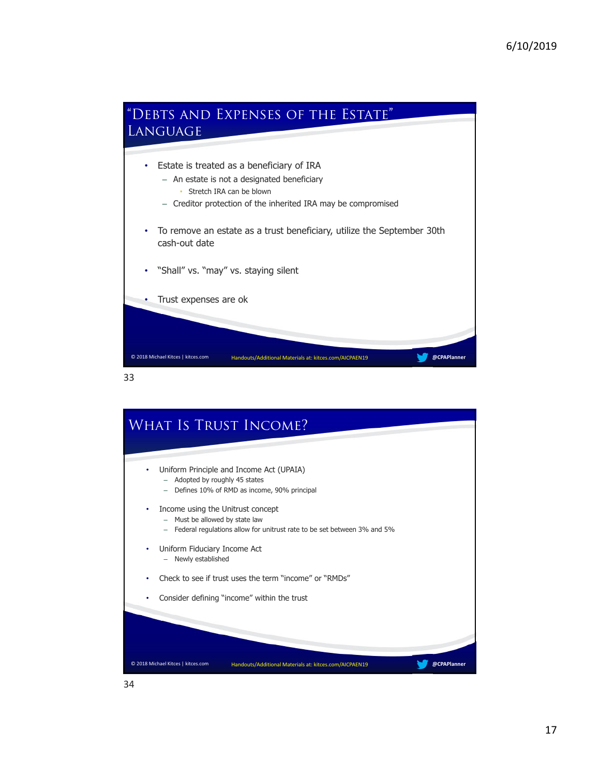

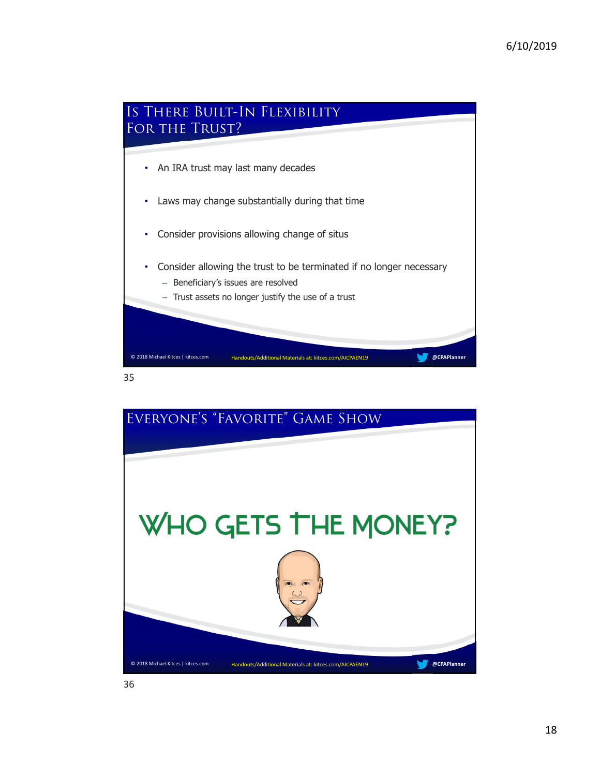



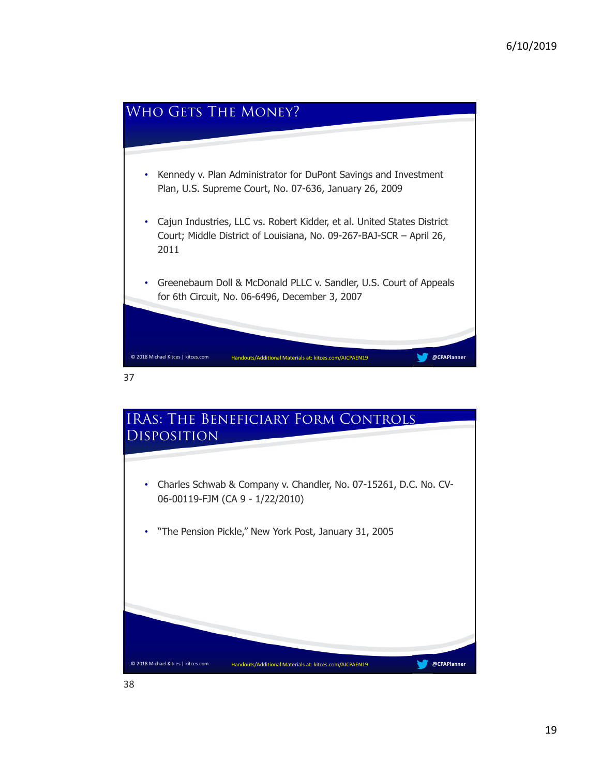